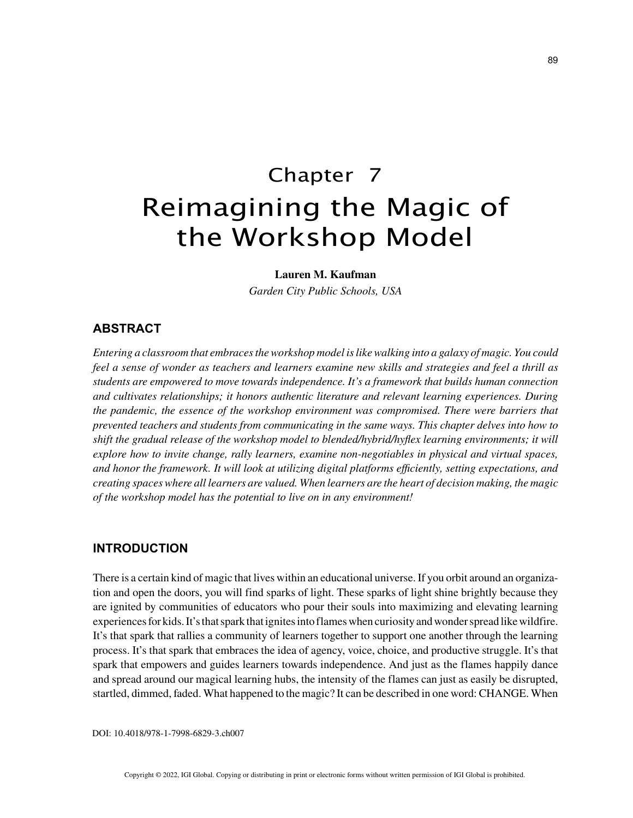# Chapter 7 Reimagining the Magic of the Workshop Model

#### **Lauren M. Kaufman**

*Garden City Public Schools, USA*

## **ABSTRACT**

*Entering a classroom that embraces the workshop model is like walking into a galaxy of magic. You could feel a sense of wonder as teachers and learners examine new skills and strategies and feel a thrill as students are empowered to move towards independence. It's a framework that builds human connection and cultivates relationships; it honors authentic literature and relevant learning experiences. During the pandemic, the essence of the workshop environment was compromised. There were barriers that prevented teachers and students from communicating in the same ways. This chapter delves into how to shift the gradual release of the workshop model to blended/hybrid/hyflex learning environments; it will explore how to invite change, rally learners, examine non-negotiables in physical and virtual spaces, and honor the framework. It will look at utilizing digital platforms efficiently, setting expectations, and creating spaces where all learners are valued. When learners are the heart of decision making, the magic of the workshop model has the potential to live on in any environment!*

## **INTRODUCTION**

There is a certain kind of magic that lives within an educational universe. If you orbit around an organization and open the doors, you will find sparks of light. These sparks of light shine brightly because they are ignited by communities of educators who pour their souls into maximizing and elevating learning experiences for kids. It's that spark that ignites into flames when curiosity and wonder spread like wildfire. It's that spark that rallies a community of learners together to support one another through the learning process. It's that spark that embraces the idea of agency, voice, choice, and productive struggle. It's that spark that empowers and guides learners towards independence. And just as the flames happily dance and spread around our magical learning hubs, the intensity of the flames can just as easily be disrupted, startled, dimmed, faded. What happened to the magic? It can be described in one word: CHANGE. When

DOI: 10.4018/978-1-7998-6829-3.ch007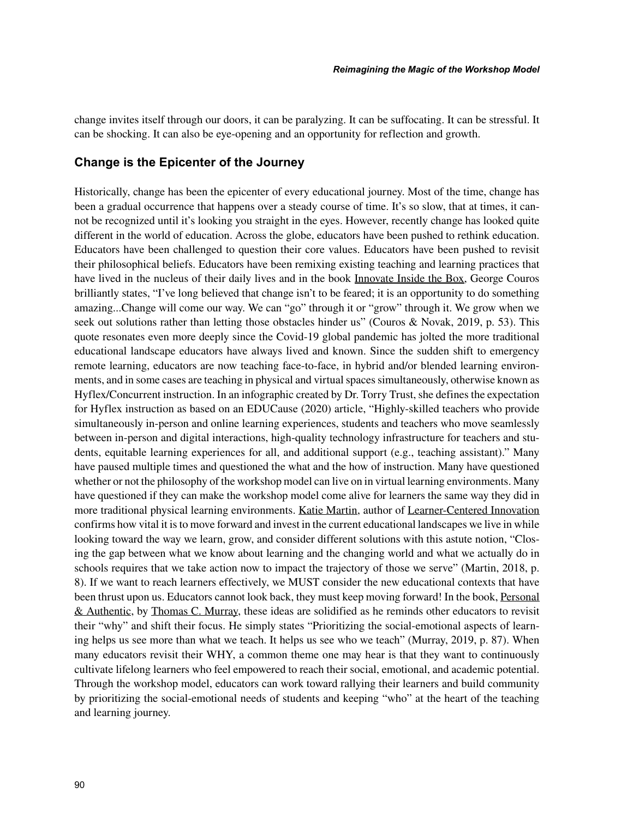change invites itself through our doors, it can be paralyzing. It can be suffocating. It can be stressful. It can be shocking. It can also be eye-opening and an opportunity for reflection and growth.

## **Change is the Epicenter of the Journey**

Historically, change has been the epicenter of every educational journey. Most of the time, change has been a gradual occurrence that happens over a steady course of time. It's so slow, that at times, it cannot be recognized until it's looking you straight in the eyes. However, recently change has looked quite different in the world of education. Across the globe, educators have been pushed to rethink education. Educators have been challenged to question their core values. Educators have been pushed to revisit their philosophical beliefs. Educators have been remixing existing teaching and learning practices that have lived in the nucleus of their daily lives and in the book Innovate Inside the Box, George Couros brilliantly states, "I've long believed that change isn't to be feared; it is an opportunity to do something amazing...Change will come our way. We can "go" through it or "grow" through it. We grow when we seek out solutions rather than letting those obstacles hinder us" (Couros & Novak, 2019, p. 53). This quote resonates even more deeply since the Covid-19 global pandemic has jolted the more traditional educational landscape educators have always lived and known. Since the sudden shift to emergency remote learning, educators are now teaching face-to-face, in hybrid and/or blended learning environments, and in some cases are teaching in physical and virtual spaces simultaneously, otherwise known as Hyflex/Concurrent instruction. In an infographic created by Dr. Torry Trust, she defines the expectation for Hyflex instruction as based on an EDUCause (2020) article, "Highly-skilled teachers who provide simultaneously in-person and online learning experiences, students and teachers who move seamlessly between in-person and digital interactions, high-quality technology infrastructure for teachers and students, equitable learning experiences for all, and additional support (e.g., teaching assistant)." Many have paused multiple times and questioned the what and the how of instruction. Many have questioned whether or not the philosophy of the workshop model can live on in virtual learning environments. Many have questioned if they can make the workshop model come alive for learners the same way they did in more traditional physical learning environments. Katie Martin, author of Learner-Centered Innovation confirms how vital it is to move forward and invest in the current educational landscapes we live in while looking toward the way we learn, grow, and consider different solutions with this astute notion, "Closing the gap between what we know about learning and the changing world and what we actually do in schools requires that we take action now to impact the trajectory of those we serve" (Martin, 2018, p. 8). If we want to reach learners effectively, we MUST consider the new educational contexts that have been thrust upon us. Educators cannot look back, they must keep moving forward! In the book, Personal & Authentic, by Thomas C. Murray, these ideas are solidified as he reminds other educators to revisit their "why" and shift their focus. He simply states "Prioritizing the social-emotional aspects of learning helps us see more than what we teach. It helps us see who we teach" (Murray, 2019, p. 87). When many educators revisit their WHY, a common theme one may hear is that they want to continuously cultivate lifelong learners who feel empowered to reach their social, emotional, and academic potential. Through the workshop model, educators can work toward rallying their learners and build community by prioritizing the social-emotional needs of students and keeping "who" at the heart of the teaching and learning journey.